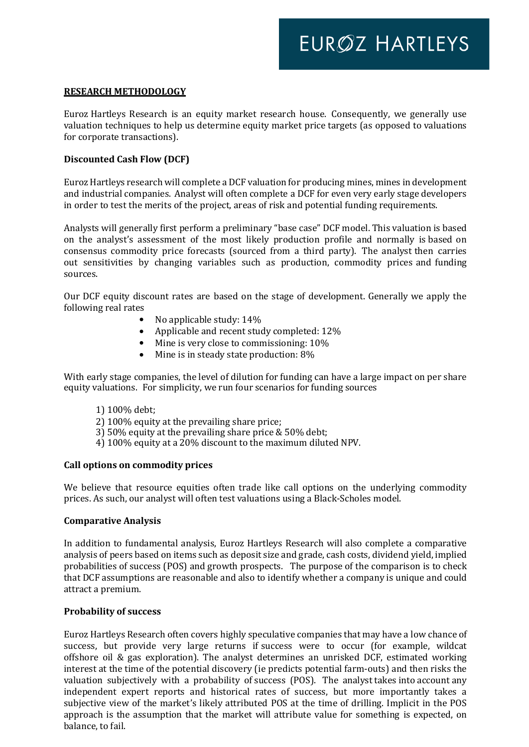#### **RESEARCH METHODOLOGY**

Euroz Hartleys Research is an equity market research house. Consequently, we generally use valuation techniques to help us determine equity market price targets (as opposed to valuations for corporate transactions).

### **Discounted Cash Flow (DCF)**

Euroz Hartleys research will complete a DCF valuation for producing mines, mines in development and industrial companies. Analyst will often complete a DCF for even very early stage developers in order to test the merits of the project, areas of risk and potential funding requirements.

Analysts will generally first perform a preliminary "base case" DCF model. This valuation is based on the analyst's assessment of the most likely production profile and normally is based on consensus commodity price forecasts (sourced from a third party). The analyst then carries out sensitivities by changing variables such as production, commodity prices and funding sources.

Our DCF equity discount rates are based on the stage of development. Generally we apply the following real rates

- No applicable study: 14%
- Applicable and recent study completed: 12%
- Mine is very close to commissioning:  $10\%$
- Mine is in steady state production: 8%

With early stage companies, the level of dilution for funding can have a large impact on per share equity valuations. For simplicity, we run four scenarios for funding sources

- 1) 100% debt;
- 2) 100% equity at the prevailing share price;
- 3) 50% equity at the prevailing share price & 50% debt;
- 4) 100% equity at a 20% discount to the maximum diluted NPV.

### **Call options on commodity prices**

We believe that resource equities often trade like call options on the underlying commodity prices. As such, our analyst will often test valuations using a Black-Scholes model.

### **Comparative Analysis**

In addition to fundamental analysis, Euroz Hartleys Research will also complete a comparative analysis of peers based on items such as deposit size and grade, cash costs, dividend yield, implied probabilities of success (POS) and growth prospects. The purpose of the comparison is to check that DCF assumptions are reasonable and also to identify whether a company is unique and could attract a premium.

### **Probability of success**

Euroz Hartleys Research often covers highly speculative companies that may have a low chance of success, but provide very large returns if success were to occur (for example, wildcat offshore oil & gas exploration). The analyst determines an unrisked DCF, estimated working interest at the time of the potential discovery (ie predicts potential farm-outs) and then risks the valuation subjectively with a probability of success (POS). The analyst takes into account any independent expert reports and historical rates of success, but more importantly takes a subjective view of the market's likely attributed POS at the time of drilling. Implicit in the POS approach is the assumption that the market will attribute value for something is expected, on balance, to fail.